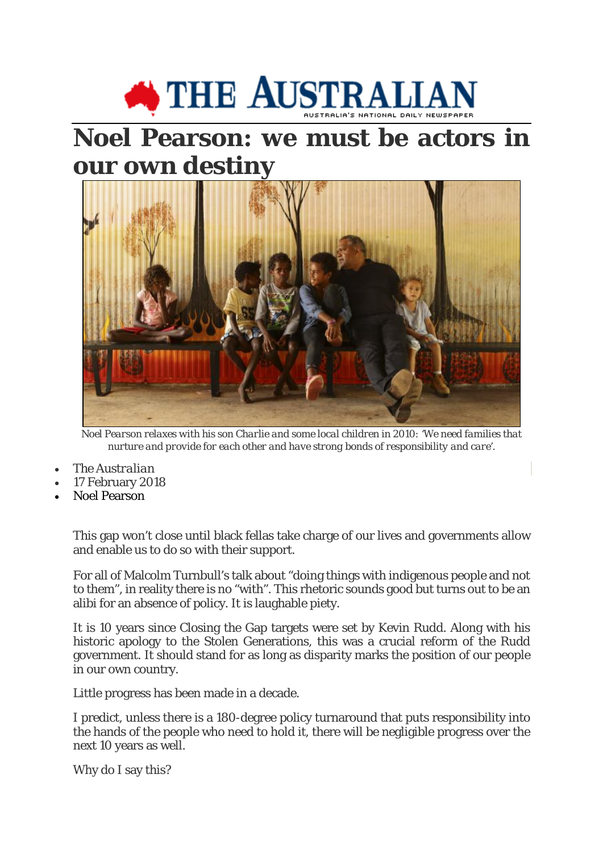

## **Noel Pearson: we must be actors in our own destiny**



*Noel Pearson relaxes with his son Charlie and some local children in 2010: 'We need families that nurture and provide for each other and have strong bonds of responsibility and care'.* 

- *The Australian*
- 17 February 2018
- Noel Pearson

This gap won't close until black fellas take charge of our lives and governments allow and enable us to do so with their support.

For all of Malcolm Turnbull's talk about "doing things with indigenous people and not to them", in reality there is no "with". This rhetoric sounds good but turns out to be an alibi for an absence of policy. It is laughable piety.

It is 10 years since Closing the Gap targets were set by Kevin Rudd. Along with his historic apology to the Stolen Generations, this was a crucial reform of the Rudd government. It should stand for as long as disparity marks the position of our people in our own country.

Little progress has been made in a decade.

I predict, unless there is a 180-degree policy turnaround that puts responsibility into the hands of the people who need to hold it, there will be negligible progress over the next 10 years as well.

Why do I say this?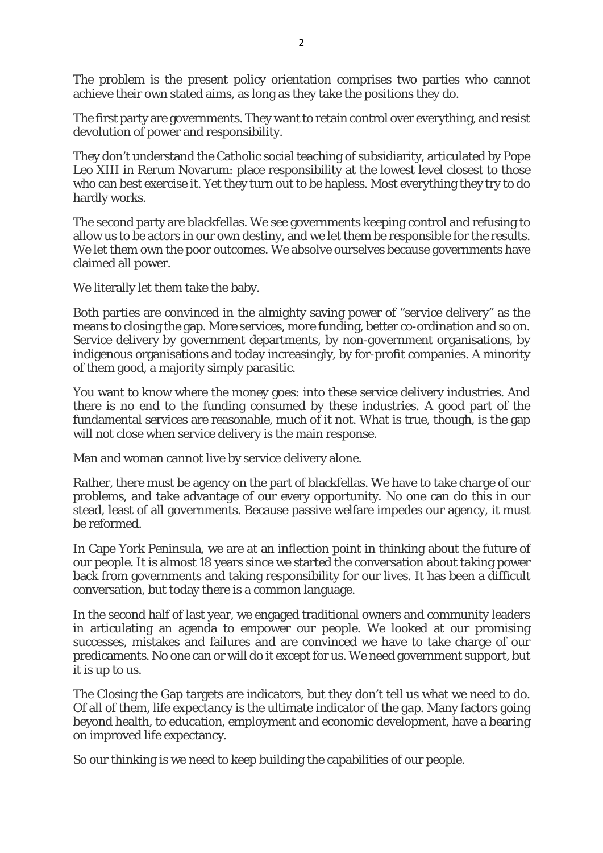The problem is the present policy orientation comprises two parties who cannot achieve their own stated aims, as long as they take the positions they do.

The first party are governments. They want to retain control over everything, and resist devolution of power and responsibility.

They don't understand the Catholic social teaching of subsidiarity, articulated by Pope Leo XIII in Rerum Novarum: place responsibility at the lowest level closest to those who can best exercise it. Yet they turn out to be hapless. Most everything they try to do hardly works.

The second party are blackfellas. We see governments keeping control and refusing to allow us to be actors in our own destiny, and we let them be responsible for the results. We let them own the poor outcomes. We absolve ourselves because governments have claimed all power.

We literally let them take the baby.

Both parties are convinced in the almighty saving power of "service delivery" as the means to closing the gap. More services, more funding, better co-ordination and so on. Service delivery by government departments, by non-government organisations, by indigenous organisations and today increasingly, by for-profit companies. A minority of them good, a majority simply parasitic.

You want to know where the money goes: into these service delivery industries. And there is no end to the funding consumed by these industries. A good part of the fundamental services are reasonable, much of it not. What is true, though, is the gap will not close when service delivery is the main response.

Man and woman cannot live by service delivery alone.

Rather, there must be agency on the part of blackfellas. We have to take charge of our problems, and take advantage of our every opportunity. No one can do this in our stead, least of all governments. Because passive welfare impedes our agency, it must be reformed.

In Cape York Peninsula, we are at an inflection point in thinking about the future of our people. It is almost 18 years since we started the conversation about taking power back from governments and taking responsibility for our lives. It has been a difficult conversation, but today there is a common language.

In the second half of last year, we engaged traditional owners and community leaders in articulating an agenda to empower our people. We looked at our promising successes, mistakes and failures and are convinced we have to take charge of our predicaments. No one can or will do it except for us. We need government support, but it is up to us.

The Closing the Gap targets are indicators, but they don't tell us what we need to do. Of all of them, life expectancy is the ultimate indicator of the gap. Many factors going beyond health, to education, employment and economic development, have a bearing on improved life expectancy.

So our thinking is we need to keep building the capabilities of our people.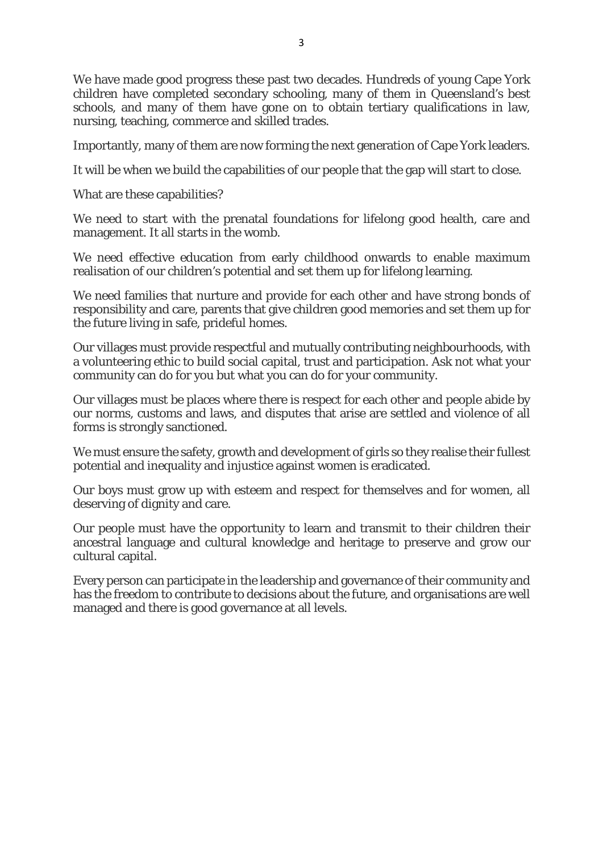We have made good progress these past two decades. Hundreds of young Cape York children have completed secondary schooling, many of them in Queensland's best schools, and many of them have gone on to obtain tertiary qualifications in law, nursing, teaching, commerce and skilled trades.

Importantly, many of them are now forming the next generation of Cape York leaders.

It will be when we build the capabilities of our people that the gap will start to close.

What are these capabilities?

We need to start with the prenatal foundations for lifelong good health, care and management. It all starts in the womb.

We need effective education from early childhood onwards to enable maximum realisation of our children's potential and set them up for lifelong learning.

We need families that nurture and provide for each other and have strong bonds of responsibility and care, parents that give children good memories and set them up for the future living in safe, prideful homes.

Our villages must provide respectful and mutually contributing neighbourhoods, with a volunteering ethic to build social capital, trust and participation. Ask not what your community can do for you but what you can do for your community.

Our villages must be places where there is respect for each other and people abide by our norms, customs and laws, and disputes that arise are settled and violence of all forms is strongly sanctioned.

We must ensure the safety, growth and development of girls so they realise their fullest potential and inequality and injustice against women is eradicated.

Our boys must grow up with esteem and respect for themselves and for women, all deserving of dignity and care.

Our people must have the opportunity to learn and transmit to their children their ancestral language and cultural knowledge and heritage to preserve and grow our cultural capital.

Every person can participate in the leadership and governance of their community and has the freedom to contribute to decisions about the future, and organisations are well managed and there is good governance at all levels.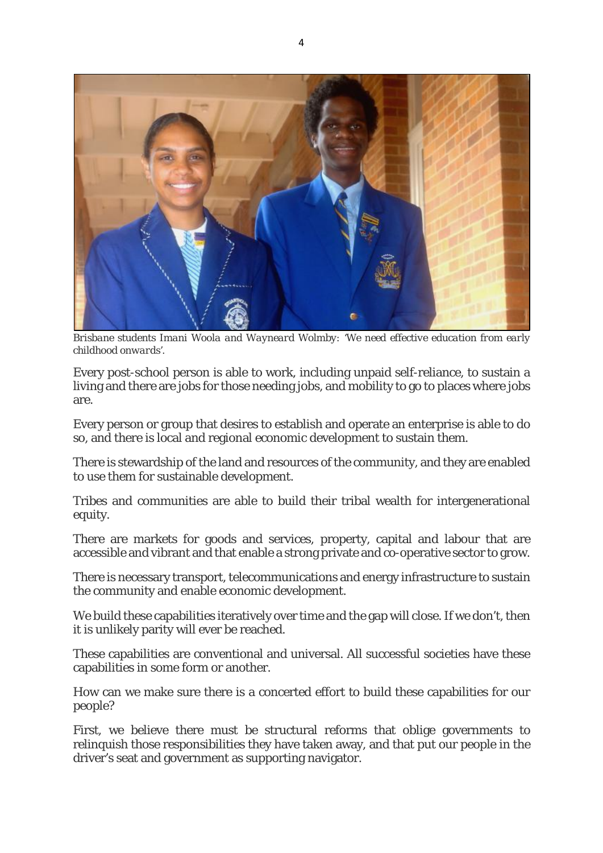

*Brisbane students Imani Woola and Wayneard Wolmby: 'We need effective education from early childhood onwards'.*

Every post-school person is able to work, including unpaid self-reliance, to sustain a living and there are jobs for those needing jobs, and mobility to go to places where jobs are.

Every person or group that desires to establish and operate an enterprise is able to do so, and there is local and regional economic development to sustain them.

There is stewardship of the land and resources of the community, and they are enabled to use them for sustainable development.

Tribes and communities are able to build their tribal wealth for intergenerational equity.

There are markets for goods and services, property, capital and labour that are accessible and vibrant and that enable a strong private and co-operative sector to grow.

There is necessary transport, telecommunications and energy infrastructure to sustain the community and enable economic development.

We build these capabilities iteratively over time and the gap will close. If we don't, then it is unlikely parity will ever be reached.

These capabilities are conventional and universal. All successful societies have these capabilities in some form or another.

How can we make sure there is a concerted effort to build these capabilities for our people?

First, we believe there must be structural reforms that oblige governments to relinquish those responsibilities they have taken away, and that put our people in the driver's seat and government as supporting navigator.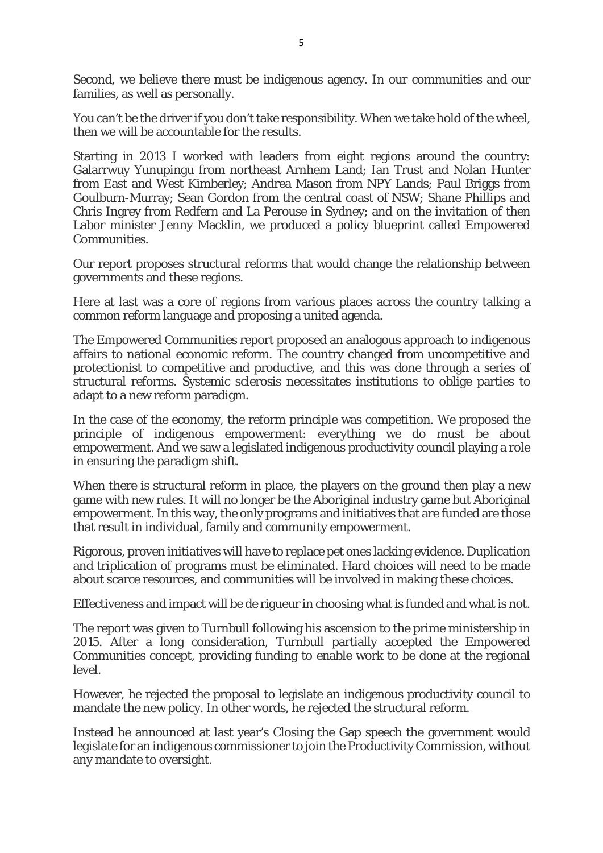Second, we believe there must be indigenous agency. In our communities and our families, as well as personally.

You can't be the driver if you don't take responsibility. When we take hold of the wheel, then we will be accountable for the results.

Starting in 2013 I worked with leaders from eight regions around the country: Galarrwuy Yunupingu from northeast Arnhem Land; Ian Trust and Nolan Hunter from East and West Kimberley; Andrea Mason from NPY Lands; Paul Briggs from Goulburn-Murray; Sean Gordon from the central coast of NSW; Shane Phillips and Chris Ingrey from Redfern and La Perouse in Sydney; and on the invitation of then Labor minister Jenny Macklin, we produced a policy blueprint called Empowered Communities.

Our report proposes structural reforms that would change the relationship between governments and these regions.

Here at last was a core of regions from various places across the country talking a common reform language and proposing a united agenda.

The Empowered Communities report proposed an analogous approach to indigenous affairs to national economic reform. The country changed from uncompetitive and protectionist to competitive and productive, and this was done through a series of structural reforms. Systemic sclerosis necessitates institutions to oblige parties to adapt to a new reform paradigm.

In the case of the economy, the reform principle was competition. We proposed the principle of indigenous empowerment: everything we do must be about empowerment. And we saw a legislated indigenous productivity council playing a role in ensuring the paradigm shift.

When there is structural reform in place, the players on the ground then play a new game with new rules. It will no longer be the Aboriginal industry game but Aboriginal empowerment. In this way, the only programs and initiatives that are funded are those that result in individual, family and community empowerment.

Rigorous, proven initiatives will have to replace pet ones lacking evidence. Duplication and triplication of programs must be eliminated. Hard choices will need to be made about scarce resources, and communities will be involved in making these choices.

Effectiveness and impact will be de rigueur in choosing what is funded and what is not.

The report was given to Turnbull following his ascension to the prime ministership in 2015. After a long consideration, Turnbull partially accepted the Empowered Communities concept, providing funding to enable work to be done at the regional level.

However, he rejected the proposal to legislate an indigenous productivity council to mandate the new policy. In other words, he rejected the structural reform.

Instead he announced at last year's Closing the Gap speech the government would legislate for an indigenous commissioner to join the Productivity Commission, without any mandate to oversight.